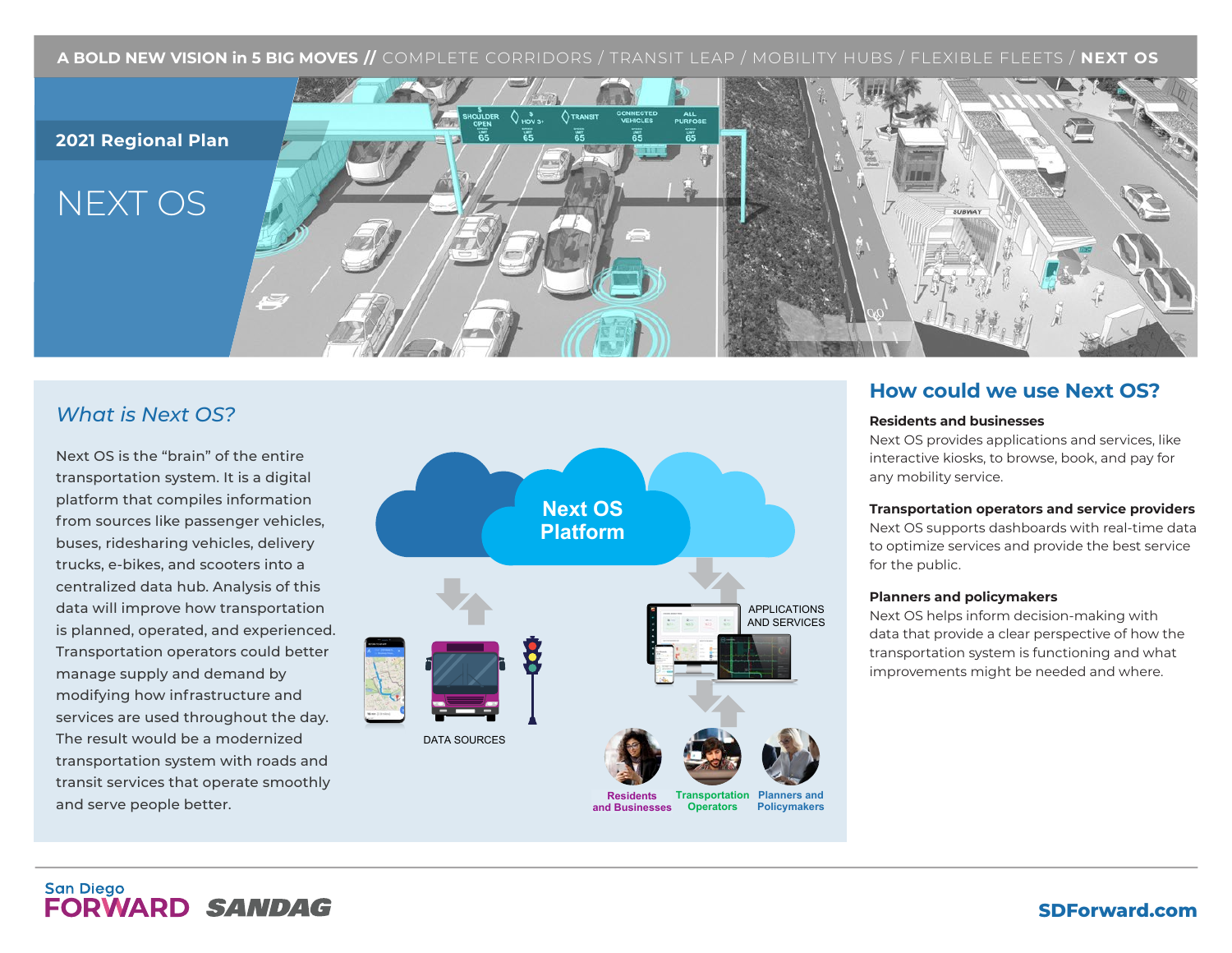**A BOLD NEW VISION in 5 BIG MOVES //** COMPLETE CORRIDORS / TRANSIT LEAP / MOBILITY HUBS / FLEXIBLE FLEETS / **NEXT OS**



### *What is Next OS?*

Next OS is the "brain" of the entire transportation system. It is a digital platform that compiles information from sources like passenger vehicles, buses, ridesharing vehicles, delivery trucks, e-bikes, and scooters into a centralized data hub. Analysis of this data will improve how transportation is planned, operated, and experienced. Transportation operators could better manage supply and demand by modifying how infrastructure and services are used throughout the day. The result would be a modernized transportation system with roads and transit services that operate smoothly and serve people better.



### **How could we use Next OS?**

#### **Residents and businesses**

Next OS provides applications and services, like interactive kiosks, to browse, book, and pay for any mobility service.

#### **Transportation operators and service providers**

Next OS supports dashboards with real-time data to optimize services and provide the best service for the public.

#### **Planners and policymakers**

Next OS helps inform decision-making with data that provide a clear perspective of how the transportation system is functioning and what improvements might be needed and where.

### **San Diego FORWARD SANDAG**